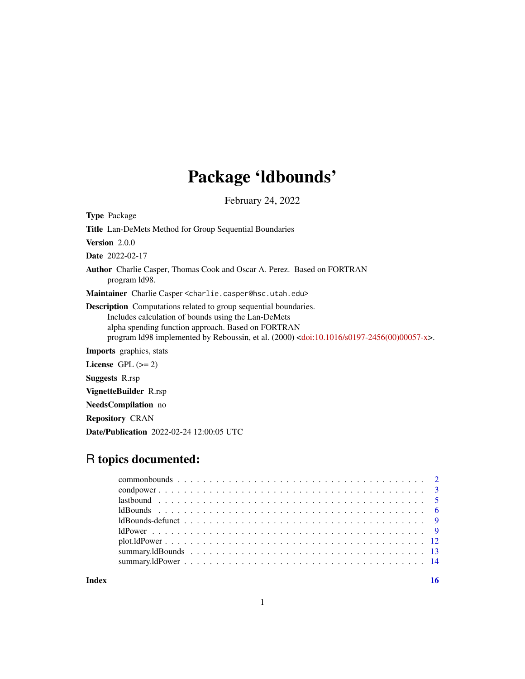## Package 'ldbounds'

February 24, 2022

Type Package Title Lan-DeMets Method for Group Sequential Boundaries Version 2.0.0 Date 2022-02-17 Author Charlie Casper, Thomas Cook and Oscar A. Perez. Based on FORTRAN program ld98. Maintainer Charlie Casper <charlie.casper@hsc.utah.edu> Description Computations related to group sequential boundaries. Includes calculation of bounds using the Lan-DeMets alpha spending function approach. Based on FORTRAN program ld98 implemented by Reboussin, et al. (2000) [<doi:10.1016/s0197-2456\(00\)00057-x>](https://doi.org/10.1016/s0197-2456(00)00057-x). Imports graphics, stats License GPL  $(>= 2)$ Suggests R.rsp VignetteBuilder R.rsp NeedsCompilation no Repository CRAN

Date/Publication 2022-02-24 12:00:05 UTC

### R topics documented:

**Index** and the contract of the contract of the contract of the contract of the contract of the contract of the contract of the contract of the contract of the contract of the contract of the contract of the contract of th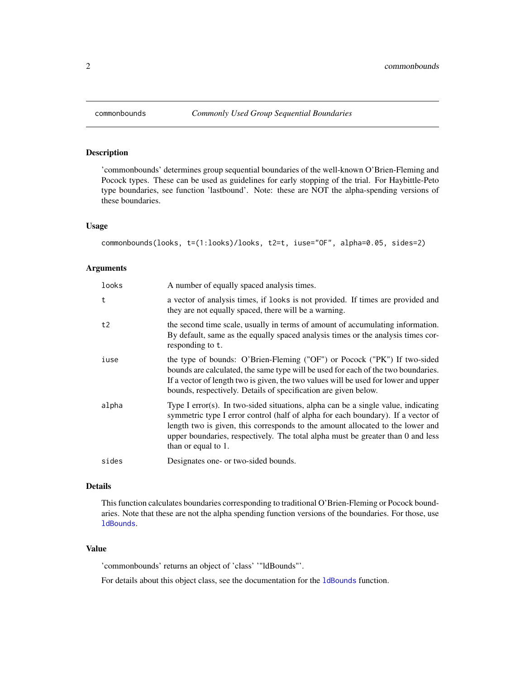<span id="page-1-1"></span><span id="page-1-0"></span>

#### Description

'commonbounds' determines group sequential boundaries of the well-known O'Brien-Fleming and Pocock types. These can be used as guidelines for early stopping of the trial. For Haybittle-Peto type boundaries, see function 'lastbound'. Note: these are NOT the alpha-spending versions of these boundaries.

#### Usage

```
commonbounds(looks, t=(1:looks)/looks, t2=t, iuse="OF", alpha=0.05, sides=2)
```
#### Arguments

| looks | A number of equally spaced analysis times.                                                                                                                                                                                                                                                                                                                        |
|-------|-------------------------------------------------------------------------------------------------------------------------------------------------------------------------------------------------------------------------------------------------------------------------------------------------------------------------------------------------------------------|
| t     | a vector of analysis times, if looks is not provided. If times are provided and<br>they are not equally spaced, there will be a warning.                                                                                                                                                                                                                          |
| t2    | the second time scale, usually in terms of amount of accumulating information.<br>By default, same as the equally spaced analysis times or the analysis times cor-<br>responding to t.                                                                                                                                                                            |
| iuse  | the type of bounds: O'Brien-Fleming ("OF") or Pocock ("PK") If two-sided<br>bounds are calculated, the same type will be used for each of the two boundaries.<br>If a vector of length two is given, the two values will be used for lower and upper<br>bounds, respectively. Details of specification are given below.                                           |
| alpha | Type I error(s). In two-sided situations, alpha can be a single value, indicating<br>symmetric type I error control (half of alpha for each boundary). If a vector of<br>length two is given, this corresponds to the amount allocated to the lower and<br>upper boundaries, respectively. The total alpha must be greater than 0 and less<br>than or equal to 1. |
| sides | Designates one- or two-sided bounds.                                                                                                                                                                                                                                                                                                                              |

#### Details

This function calculates boundaries corresponding to traditional O'Brien-Fleming or Pocock boundaries. Note that these are not the alpha spending function versions of the boundaries. For those, use [ldBounds](#page-5-1).

#### Value

'commonbounds' returns an object of 'class' '"ldBounds"'.

For details about this object class, see the documentation for the 1dBounds function.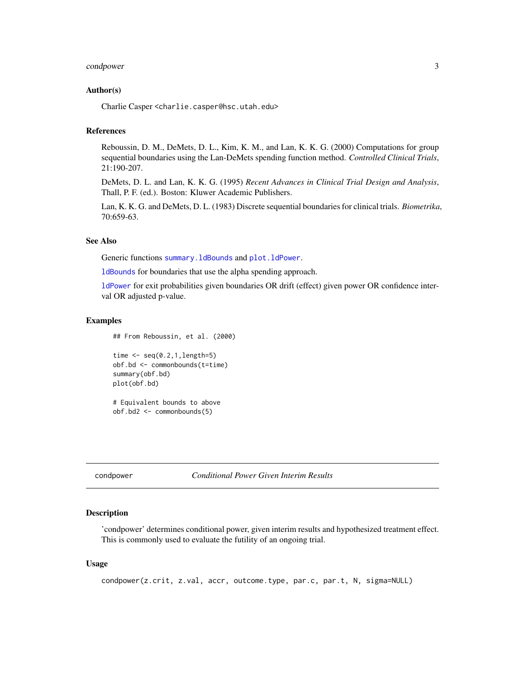#### <span id="page-2-0"></span>condpower 3

#### Author(s)

Charlie Casper <charlie.casper@hsc.utah.edu>

#### References

Reboussin, D. M., DeMets, D. L., Kim, K. M., and Lan, K. K. G. (2000) Computations for group sequential boundaries using the Lan-DeMets spending function method. *Controlled Clinical Trials*, 21:190-207.

DeMets, D. L. and Lan, K. K. G. (1995) *Recent Advances in Clinical Trial Design and Analysis*, Thall, P. F. (ed.). Boston: Kluwer Academic Publishers.

Lan, K. K. G. and DeMets, D. L. (1983) Discrete sequential boundaries for clinical trials. *Biometrika*, 70:659-63.

#### See Also

Generic functions [summary.ldBounds](#page-12-1) and [plot.ldPower](#page-11-1).

[ldBounds](#page-5-1) for boundaries that use the alpha spending approach.

[ldPower](#page-8-1) for exit probabilities given boundaries OR drift (effect) given power OR confidence interval OR adjusted p-value.

#### Examples

## From Reboussin, et al. (2000)

```
time \leq seq(0.2,1, length=5)
obf.bd <- commonbounds(t=time)
summary(obf.bd)
plot(obf.bd)
```
# Equivalent bounds to above obf.bd2 <- commonbounds(5)

condpower *Conditional Power Given Interim Results*

#### Description

'condpower' determines conditional power, given interim results and hypothesized treatment effect. This is commonly used to evaluate the futility of an ongoing trial.

#### Usage

```
condpower(z.crit, z.val, accr, outcome.type, par.c, par.t, N, sigma=NULL)
```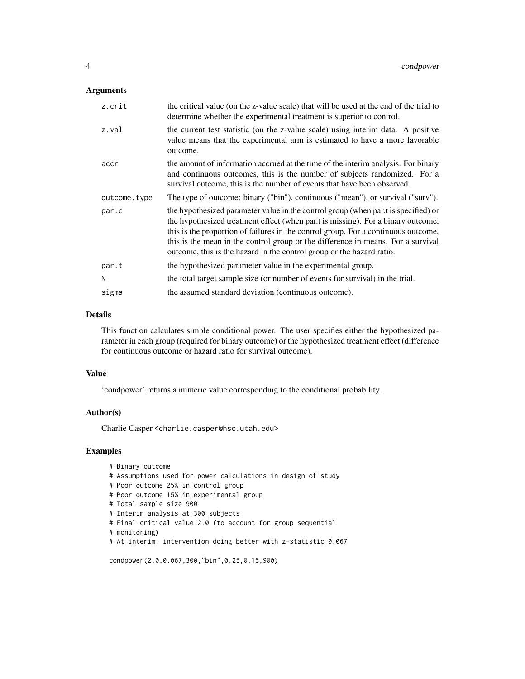#### Arguments

| z.crit       | the critical value (on the z-value scale) that will be used at the end of the trial to<br>determine whether the experimental treatment is superior to control.                                                                                                                                                                                                                                                          |
|--------------|-------------------------------------------------------------------------------------------------------------------------------------------------------------------------------------------------------------------------------------------------------------------------------------------------------------------------------------------------------------------------------------------------------------------------|
| z.val        | the current test statistic (on the z-value scale) using interim data. A positive<br>value means that the experimental arm is estimated to have a more favorable<br>outcome.                                                                                                                                                                                                                                             |
| accr         | the amount of information accrued at the time of the interim analysis. For binary<br>and continuous outcomes, this is the number of subjects randomized. For a<br>survival outcome, this is the number of events that have been observed.                                                                                                                                                                               |
| outcome.type | The type of outcome: binary ("bin"), continuous ("mean"), or survival ("surv").                                                                                                                                                                                                                                                                                                                                         |
| par.c        | the hypothesized parameter value in the control group (when part is specified) or<br>the hypothesized treatment effect (when part is missing). For a binary outcome,<br>this is the proportion of failures in the control group. For a continuous outcome,<br>this is the mean in the control group or the difference in means. For a survival<br>outcome, this is the hazard in the control group or the hazard ratio. |
| par.t        | the hypothesized parameter value in the experimental group.                                                                                                                                                                                                                                                                                                                                                             |
| N            | the total target sample size (or number of events for survival) in the trial.                                                                                                                                                                                                                                                                                                                                           |
| sigma        | the assumed standard deviation (continuous outcome).                                                                                                                                                                                                                                                                                                                                                                    |

#### Details

This function calculates simple conditional power. The user specifies either the hypothesized parameter in each group (required for binary outcome) or the hypothesized treatment effect (difference for continuous outcome or hazard ratio for survival outcome).

#### Value

'condpower' returns a numeric value corresponding to the conditional probability.

#### Author(s)

Charlie Casper <charlie.casper@hsc.utah.edu>

#### Examples

```
# Binary outcome
# Assumptions used for power calculations in design of study
# Poor outcome 25% in control group
# Poor outcome 15% in experimental group
# Total sample size 900
# Interim analysis at 300 subjects
# Final critical value 2.0 (to account for group sequential
# monitoring)
# At interim, intervention doing better with z-statistic 0.067
```
condpower(2.0,0.067,300,"bin",0.25,0.15,900)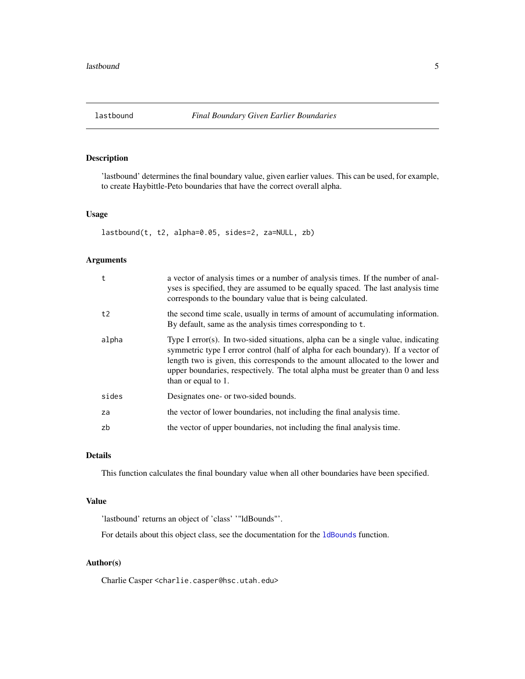#### <span id="page-4-0"></span>Description

'lastbound' determines the final boundary value, given earlier values. This can be used, for example, to create Haybittle-Peto boundaries that have the correct overall alpha.

#### Usage

lastbound(t, t2, alpha=0.05, sides=2, za=NULL, zb)

#### Arguments

| t     | a vector of analysis times or a number of analysis times. If the number of anal-<br>yses is specified, they are assumed to be equally spaced. The last analysis time<br>corresponds to the boundary value that is being calculated.                                                                                                                               |
|-------|-------------------------------------------------------------------------------------------------------------------------------------------------------------------------------------------------------------------------------------------------------------------------------------------------------------------------------------------------------------------|
| t2    | the second time scale, usually in terms of amount of accumulating information.<br>By default, same as the analysis times corresponding to t.                                                                                                                                                                                                                      |
| alpha | Type I error(s). In two-sided situations, alpha can be a single value, indicating<br>symmetric type I error control (half of alpha for each boundary). If a vector of<br>length two is given, this corresponds to the amount allocated to the lower and<br>upper boundaries, respectively. The total alpha must be greater than 0 and less<br>than or equal to 1. |
| sides | Designates one- or two-sided bounds.                                                                                                                                                                                                                                                                                                                              |
| za    | the vector of lower boundaries, not including the final analysis time.                                                                                                                                                                                                                                                                                            |
| zb    | the vector of upper boundaries, not including the final analysis time.                                                                                                                                                                                                                                                                                            |

#### Details

This function calculates the final boundary value when all other boundaries have been specified.

#### Value

'lastbound' returns an object of 'class' '"ldBounds"'.

For details about this object class, see the documentation for the 1dBounds function.

#### Author(s)

Charlie Casper <charlie.casper@hsc.utah.edu>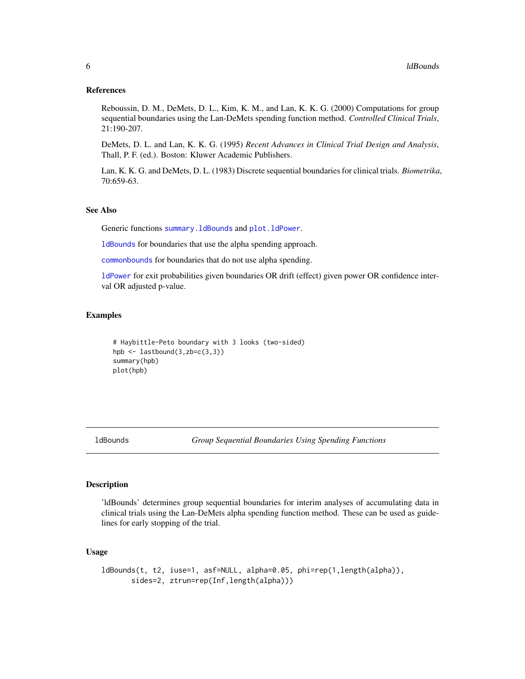#### <span id="page-5-0"></span>References

Reboussin, D. M., DeMets, D. L., Kim, K. M., and Lan, K. K. G. (2000) Computations for group sequential boundaries using the Lan-DeMets spending function method. *Controlled Clinical Trials*, 21:190-207.

DeMets, D. L. and Lan, K. K. G. (1995) *Recent Advances in Clinical Trial Design and Analysis*, Thall, P. F. (ed.). Boston: Kluwer Academic Publishers.

Lan, K. K. G. and DeMets, D. L. (1983) Discrete sequential boundaries for clinical trials. *Biometrika*, 70:659-63.

#### See Also

Generic functions summary. 1dBounds and plot. 1dPower.

[ldBounds](#page-5-1) for boundaries that use the alpha spending approach.

[commonbounds](#page-1-1) for boundaries that do not use alpha spending.

[ldPower](#page-8-1) for exit probabilities given boundaries OR drift (effect) given power OR confidence interval OR adjusted p-value.

#### Examples

```
# Haybittle-Peto boundary with 3 looks (two-sided)
hpb \leq lastbound(3,zb=c(3,3))
summary(hpb)
plot(hpb)
```
<span id="page-5-1"></span>ldBounds *Group Sequential Boundaries Using Spending Functions*

#### Description

'ldBounds' determines group sequential boundaries for interim analyses of accumulating data in clinical trials using the Lan-DeMets alpha spending function method. These can be used as guidelines for early stopping of the trial.

#### Usage

```
ldBounds(t, t2, iuse=1, asf=NULL, alpha=0.05, phi=rep(1,length(alpha)),
      sides=2, ztrun=rep(Inf,length(alpha)))
```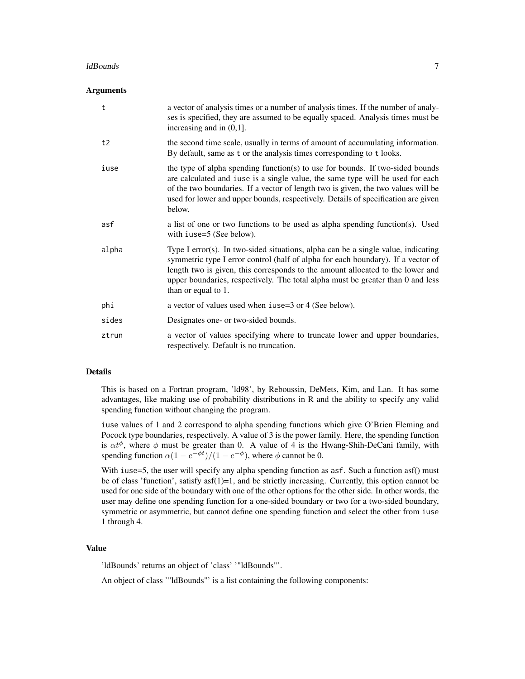#### ldBounds **7**

#### Arguments

| t     | a vector of analysis times or a number of analysis times. If the number of analy-<br>ses is specified, they are assumed to be equally spaced. Analysis times must be<br>increasing and in $(0,1]$ .                                                                                                                                                               |
|-------|-------------------------------------------------------------------------------------------------------------------------------------------------------------------------------------------------------------------------------------------------------------------------------------------------------------------------------------------------------------------|
| t2    | the second time scale, usually in terms of amount of accumulating information.<br>By default, same as t or the analysis times corresponding to t looks.                                                                                                                                                                                                           |
| iuse  | the type of alpha spending function(s) to use for bounds. If two-sided bounds<br>are calculated and iuse is a single value, the same type will be used for each<br>of the two boundaries. If a vector of length two is given, the two values will be<br>used for lower and upper bounds, respectively. Details of specification are given<br>below.               |
| asf   | a list of one or two functions to be used as alpha spending function(s). Used<br>with iuse=5 (See below).                                                                                                                                                                                                                                                         |
| alpha | Type I error(s). In two-sided situations, alpha can be a single value, indicating<br>symmetric type I error control (half of alpha for each boundary). If a vector of<br>length two is given, this corresponds to the amount allocated to the lower and<br>upper boundaries, respectively. The total alpha must be greater than 0 and less<br>than or equal to 1. |
| phi   | a vector of values used when iuse=3 or 4 (See below).                                                                                                                                                                                                                                                                                                             |
| sides | Designates one- or two-sided bounds.                                                                                                                                                                                                                                                                                                                              |
| ztrun | a vector of values specifying where to truncate lower and upper boundaries,<br>respectively. Default is no truncation.                                                                                                                                                                                                                                            |

#### Details

This is based on a Fortran program, 'ld98', by Reboussin, DeMets, Kim, and Lan. It has some advantages, like making use of probability distributions in R and the ability to specify any valid spending function without changing the program.

iuse values of 1 and 2 correspond to alpha spending functions which give O'Brien Fleming and Pocock type boundaries, respectively. A value of 3 is the power family. Here, the spending function is  $\alpha t^{\phi}$ , where  $\phi$  must be greater than 0. A value of 4 is the Hwang-Shih-DeCani family, with spending function  $\alpha(1 - e^{-\phi t})/(1 - e^{-\phi})$ , where  $\phi$  cannot be 0.

With iuse=5, the user will specify any alpha spending function as asf. Such a function asf() must be of class 'function', satisfy  $\text{asf}(1)=1$ , and be strictly increasing. Currently, this option cannot be used for one side of the boundary with one of the other options for the other side. In other words, the user may define one spending function for a one-sided boundary or two for a two-sided boundary, symmetric or asymmetric, but cannot define one spending function and select the other from iuse 1 through 4.

#### Value

'ldBounds' returns an object of 'class' '"ldBounds"'.

An object of class '"ldBounds"' is a list containing the following components: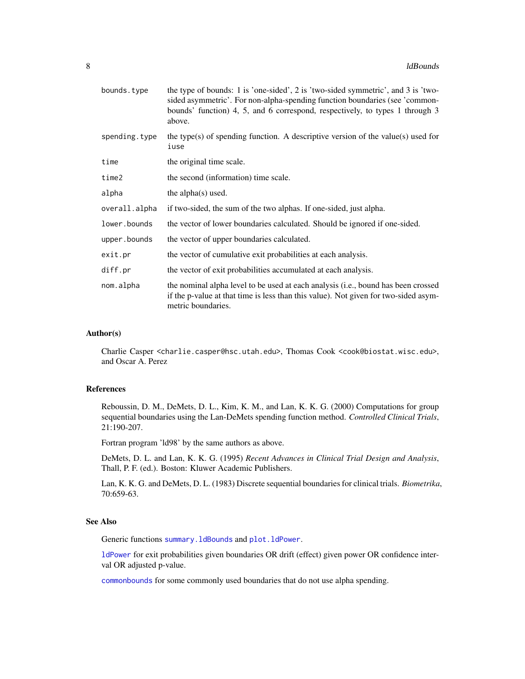<span id="page-7-0"></span>

| bounds.type   | the type of bounds: 1 is 'one-sided', 2 is 'two-sided symmetric', and 3 is 'two-<br>sided asymmetric'. For non-alpha-spending function boundaries (see 'common-<br>bounds' function) 4, 5, and 6 correspond, respectively, to types 1 through 3<br>above. |
|---------------|-----------------------------------------------------------------------------------------------------------------------------------------------------------------------------------------------------------------------------------------------------------|
| spending.type | the type(s) of spending function. A descriptive version of the value(s) used for<br>iuse                                                                                                                                                                  |
| time          | the original time scale.                                                                                                                                                                                                                                  |
| time2         | the second (information) time scale.                                                                                                                                                                                                                      |
| alpha         | the alpha $(s)$ used.                                                                                                                                                                                                                                     |
| overall.alpha | if two-sided, the sum of the two alphas. If one-sided, just alpha.                                                                                                                                                                                        |
| lower.bounds  | the vector of lower boundaries calculated. Should be ignored if one-sided.                                                                                                                                                                                |
| upper.bounds  | the vector of upper boundaries calculated.                                                                                                                                                                                                                |
| exit.pr       | the vector of cumulative exit probabilities at each analysis.                                                                                                                                                                                             |
| diff.pr       | the vector of exit probabilities accumulated at each analysis.                                                                                                                                                                                            |
| nom.alpha     | the nominal alpha level to be used at each analysis (i.e., bound has been crossed<br>if the p-value at that time is less than this value). Not given for two-sided asym-<br>metric boundaries.                                                            |

#### Author(s)

Charlie Casper <charlie.casper@hsc.utah.edu>, Thomas Cook <cook@biostat.wisc.edu>, and Oscar A. Perez

#### References

Reboussin, D. M., DeMets, D. L., Kim, K. M., and Lan, K. K. G. (2000) Computations for group sequential boundaries using the Lan-DeMets spending function method. *Controlled Clinical Trials*, 21:190-207.

Fortran program 'ld98' by the same authors as above.

DeMets, D. L. and Lan, K. K. G. (1995) *Recent Advances in Clinical Trial Design and Analysis*, Thall, P. F. (ed.). Boston: Kluwer Academic Publishers.

Lan, K. K. G. and DeMets, D. L. (1983) Discrete sequential boundaries for clinical trials. *Biometrika*, 70:659-63.

#### See Also

Generic functions [summary.ldBounds](#page-12-1) and [plot.ldPower](#page-11-1).

[ldPower](#page-8-1) for exit probabilities given boundaries OR drift (effect) given power OR confidence interval OR adjusted p-value.

[commonbounds](#page-1-1) for some commonly used boundaries that do not use alpha spending.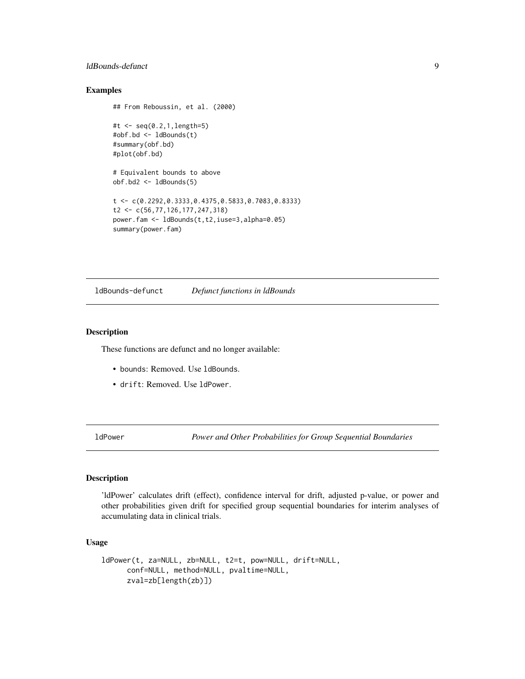#### <span id="page-8-0"></span>ldBounds-defunct 9

#### Examples

```
## From Reboussin, et al. (2000)
#t <- seq(0.2,1,length=5)
#obf.bd <- ldBounds(t)
#summary(obf.bd)
#plot(obf.bd)
# Equivalent bounds to above
obf.bd2 <- ldBounds(5)
t <- c(0.2292,0.3333,0.4375,0.5833,0.7083,0.8333)
t2 <- c(56,77,126,177,247,318)
power.fam <- ldBounds(t,t2,iuse=3,alpha=0.05)
summary(power.fam)
```
ldBounds-defunct *Defunct functions in ldBounds*

#### Description

These functions are defunct and no longer available:

- bounds: Removed. Use ldBounds.
- drift: Removed. Use ldPower.

<span id="page-8-1"></span>ldPower *Power and Other Probabilities for Group Sequential Boundaries*

#### Description

'ldPower' calculates drift (effect), confidence interval for drift, adjusted p-value, or power and other probabilities given drift for specified group sequential boundaries for interim analyses of accumulating data in clinical trials.

#### Usage

```
ldPower(t, za=NULL, zb=NULL, t2=t, pow=NULL, drift=NULL,
     conf=NULL, method=NULL, pvaltime=NULL,
     zval=zb[length(zb)])
```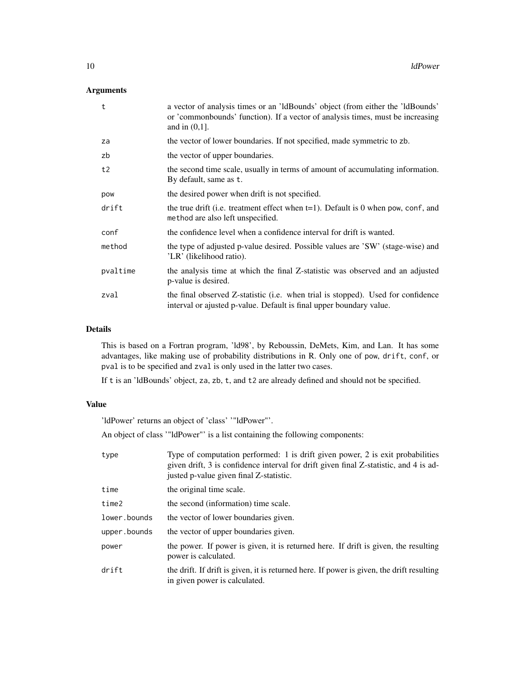#### Arguments

| $\mathsf{t}$ | a vector of analysis times or an 'ldBounds' object (from either the 'ldBounds'<br>or 'commonbounds' function). If a vector of analysis times, must be increasing<br>and in $(0,1]$ . |
|--------------|--------------------------------------------------------------------------------------------------------------------------------------------------------------------------------------|
| za           | the vector of lower boundaries. If not specified, made symmetric to zb.                                                                                                              |
| zb           | the vector of upper boundaries.                                                                                                                                                      |
| t2           | the second time scale, usually in terms of amount of accumulating information.<br>By default, same as t.                                                                             |
| pow          | the desired power when drift is not specified.                                                                                                                                       |
| drift        | the true drift (i.e. treatment effect when $t=1$ ). Default is 0 when pow, conf, and<br>method are also left unspecified.                                                            |
| conf         | the confidence level when a confidence interval for drift is wanted.                                                                                                                 |
| method       | the type of adjusted p-value desired. Possible values are 'SW' (stage-wise) and<br>'LR' (likelihood ratio).                                                                          |
| pvaltime     | the analysis time at which the final Z-statistic was observed and an adjusted<br>p-value is desired.                                                                                 |
| zval         | the final observed Z-statistic (i.e. when trial is stopped). Used for confidence<br>interval or ajusted p-value. Default is final upper boundary value.                              |

#### Details

This is based on a Fortran program, 'ld98', by Reboussin, DeMets, Kim, and Lan. It has some advantages, like making use of probability distributions in R. Only one of pow, drift, conf, or pval is to be specified and zval is only used in the latter two cases.

If t is an 'ldBounds' object, za, zb, t, and t2 are already defined and should not be specified.

#### Value

'ldPower' returns an object of 'class' '"ldPower"'.

An object of class '"ldPower"' is a list containing the following components:

| type         | Type of computation performed: 1 is drift given power, 2 is exit probabilities<br>given drift, 3 is confidence interval for drift given final Z-statistic, and 4 is ad-<br>justed p-value given final Z-statistic. |
|--------------|--------------------------------------------------------------------------------------------------------------------------------------------------------------------------------------------------------------------|
| time         | the original time scale.                                                                                                                                                                                           |
| time2        | the second (information) time scale.                                                                                                                                                                               |
| lower.bounds | the vector of lower boundaries given.                                                                                                                                                                              |
| upper.bounds | the vector of upper boundaries given.                                                                                                                                                                              |
| power        | the power. If power is given, it is returned here. If drift is given, the resulting<br>power is calculated.                                                                                                        |
| drift        | the drift. If drift is given, it is returned here. If power is given, the drift resulting<br>in given power is calculated.                                                                                         |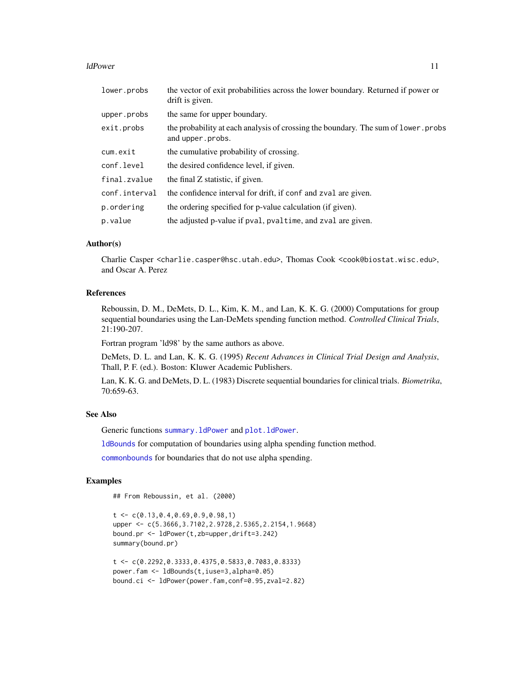<span id="page-10-0"></span>ldPower 11

| lower.probs   | the vector of exit probabilities across the lower boundary. Returned if power or<br>drift is given.    |
|---------------|--------------------------------------------------------------------------------------------------------|
| upper.probs   | the same for upper boundary.                                                                           |
| exit.probs    | the probability at each analysis of crossing the boundary. The sum of lower, probs<br>and upper.probs. |
| cum.exit      | the cumulative probability of crossing.                                                                |
| conf.level    | the desired confidence level, if given.                                                                |
| final.zvalue  | the final Z statistic, if given.                                                                       |
| conf.interval | the confidence interval for drift, if conf and zval are given.                                         |
| p.ordering    | the ordering specified for p-value calculation (if given).                                             |
| p.value       | the adjusted p-value if pval, pvaltime, and zval are given.                                            |

#### Author(s)

Charlie Casper <charlie.casper@hsc.utah.edu>, Thomas Cook <cook@biostat.wisc.edu>, and Oscar A. Perez

#### References

Reboussin, D. M., DeMets, D. L., Kim, K. M., and Lan, K. K. G. (2000) Computations for group sequential boundaries using the Lan-DeMets spending function method. *Controlled Clinical Trials*, 21:190-207.

Fortran program 'ld98' by the same authors as above.

DeMets, D. L. and Lan, K. K. G. (1995) *Recent Advances in Clinical Trial Design and Analysis*, Thall, P. F. (ed.). Boston: Kluwer Academic Publishers.

Lan, K. K. G. and DeMets, D. L. (1983) Discrete sequential boundaries for clinical trials. *Biometrika*, 70:659-63.

#### See Also

Generic functions [summary.ldPower](#page-13-1) and [plot.ldPower](#page-11-1).

[ldBounds](#page-5-1) for computation of boundaries using alpha spending function method.

[commonbounds](#page-1-1) for boundaries that do not use alpha spending.

#### Examples

## From Reboussin, et al. (2000)

```
t \leq C(0.13, 0.4, 0.69, 0.9, 0.98, 1)upper <- c(5.3666,3.7102,2.9728,2.5365,2.2154,1.9668)
bound.pr <- ldPower(t,zb=upper,drift=3.242)
summary(bound.pr)
```

```
t <- c(0.2292,0.3333,0.4375,0.5833,0.7083,0.8333)
power.fam <- ldBounds(t,iuse=3,alpha=0.05)
bound.ci <- ldPower(power.fam,conf=0.95,zval=2.82)
```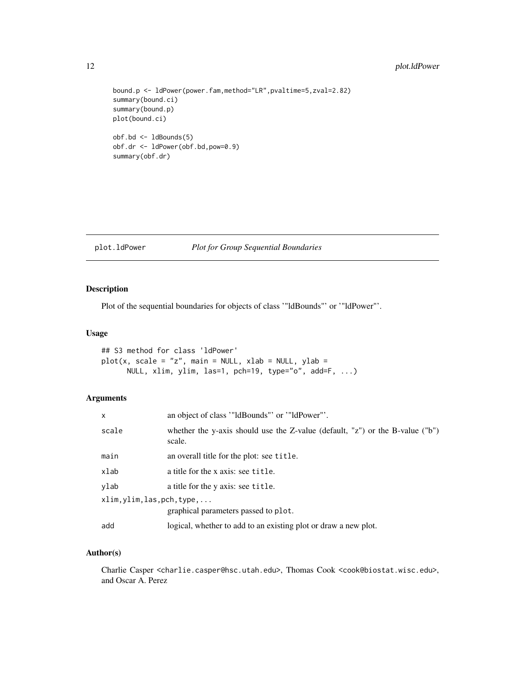#### <span id="page-11-0"></span>12 plot.ldPower

```
bound.p <- ldPower(power.fam,method="LR",pvaltime=5,zval=2.82)
summary(bound.ci)
summary(bound.p)
plot(bound.ci)
obf.bd <- ldBounds(5)
obf.dr <- ldPower(obf.bd,pow=0.9)
```

```
summary(obf.dr)
```
#### <span id="page-11-1"></span>plot.ldPower *Plot for Group Sequential Boundaries*

#### Description

Plot of the sequential boundaries for objects of class '"ldBounds"' or '"ldPower"'.

#### Usage

```
## S3 method for class 'ldPower'
plot(x, scale = "z", main = NULL, xlab = NULL, ylab =NULL, xlim, ylim, las=1, pch=19, type="o", add=F, ...)
```
#### Arguments

| $\mathsf{x}$                                                        | an object of class ""ldBounds" or ""ldPower"".                                          |
|---------------------------------------------------------------------|-----------------------------------------------------------------------------------------|
| scale                                                               | whether the y-axis should use the Z-value (default, "z") or the B-value ("b")<br>scale. |
| main                                                                | an overall title for the plot: see title.                                               |
| xlab                                                                | a title for the x axis: see title.                                                      |
| ylab                                                                | a title for the y axis: see title.                                                      |
| xlim, ylim, las, pch, type,<br>graphical parameters passed to plot. |                                                                                         |
| add                                                                 | logical, whether to add to an existing plot or draw a new plot.                         |

#### Author(s)

Charlie Casper <charlie.casper@hsc.utah.edu>, Thomas Cook <cook@biostat.wisc.edu>, and Oscar A. Perez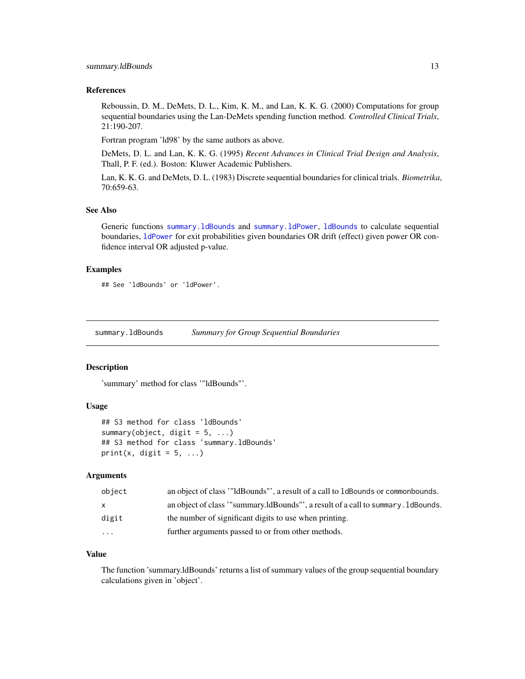#### <span id="page-12-0"></span>References

Reboussin, D. M., DeMets, D. L., Kim, K. M., and Lan, K. K. G. (2000) Computations for group sequential boundaries using the Lan-DeMets spending function method. *Controlled Clinical Trials*, 21:190-207.

Fortran program 'ld98' by the same authors as above.

DeMets, D. L. and Lan, K. K. G. (1995) *Recent Advances in Clinical Trial Design and Analysis*, Thall, P. F. (ed.). Boston: Kluwer Academic Publishers.

Lan, K. K. G. and DeMets, D. L. (1983) Discrete sequential boundaries for clinical trials. *Biometrika*, 70:659-63.

#### See Also

Generic functions [summary.ldBounds](#page-12-1) and [summary.ldPower](#page-13-1), [ldBounds](#page-5-1) to calculate sequential boundaries, [ldPower](#page-8-1) for exit probabilities given boundaries OR drift (effect) given power OR confidence interval OR adjusted p-value.

#### Examples

## See 'ldBounds' or 'ldPower'.

<span id="page-12-1"></span>summary.ldBounds *Summary for Group Sequential Boundaries*

#### Description

'summary' method for class '"ldBounds"'.

#### Usage

```
## S3 method for class 'ldBounds'
summary(object, digit = 5, ...)
## S3 method for class 'summary.ldBounds'
print(x, digit = 5, ...)
```
#### Arguments

| object                  | an object of class "IdBounds", a result of a call to 1 dBounds or commonbounds. |
|-------------------------|---------------------------------------------------------------------------------|
| $\mathsf{X}$            | an object of class "summary.ldBounds", a result of a call to summary.ldBounds.  |
| digit                   | the number of significant digits to use when printing.                          |
| $\cdot$ $\cdot$ $\cdot$ | further arguments passed to or from other methods.                              |
|                         |                                                                                 |

#### Value

The function 'summary.ldBounds' returns a list of summary values of the group sequential boundary calculations given in 'object'.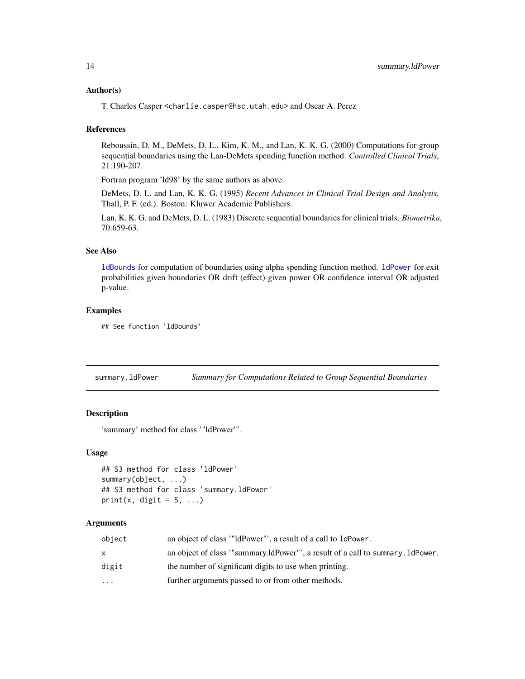#### <span id="page-13-0"></span>Author(s)

T. Charles Casper <charlie.casper@hsc.utah.edu> and Oscar A. Perez

#### References

Reboussin, D. M., DeMets, D. L., Kim, K. M., and Lan, K. K. G. (2000) Computations for group sequential boundaries using the Lan-DeMets spending function method. *Controlled Clinical Trials*, 21:190-207.

Fortran program 'ld98' by the same authors as above.

DeMets, D. L. and Lan, K. K. G. (1995) *Recent Advances in Clinical Trial Design and Analysis*, Thall, P. F. (ed.). Boston: Kluwer Academic Publishers.

Lan, K. K. G. and DeMets, D. L. (1983) Discrete sequential boundaries for clinical trials. *Biometrika*, 70:659-63.

#### See Also

[ldBounds](#page-5-1) for computation of boundaries using alpha spending function method. [ldPower](#page-8-1) for exit probabilities given boundaries OR drift (effect) given power OR confidence interval OR adjusted p-value.

#### Examples

```
## See function 'ldBounds'
```
<span id="page-13-1"></span>summary.ldPower *Summary for Computations Related to Group Sequential Boundaries*

#### Description

'summary' method for class '"ldPower"'.

#### Usage

```
## S3 method for class 'ldPower'
summary(object, ...)
## S3 method for class 'summary.ldPower'
print(x, digit = 5, ...)
```
#### Arguments

| object                  | an object of class "IdPower", a result of a call to 1dPower.                  |
|-------------------------|-------------------------------------------------------------------------------|
| x.                      | an object of class "summary.ldPower"', a result of a call to summary.ldPower. |
| digit                   | the number of significant digits to use when printing.                        |
| $\cdot$ $\cdot$ $\cdot$ | further arguments passed to or from other methods.                            |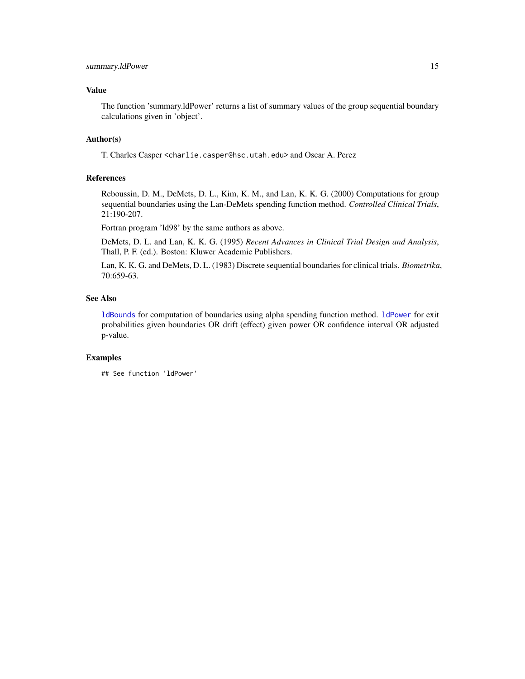#### <span id="page-14-0"></span>Value

The function 'summary.ldPower' returns a list of summary values of the group sequential boundary calculations given in 'object'.

#### Author(s)

T. Charles Casper <charlie.casper@hsc.utah.edu> and Oscar A. Perez

#### References

Reboussin, D. M., DeMets, D. L., Kim, K. M., and Lan, K. K. G. (2000) Computations for group sequential boundaries using the Lan-DeMets spending function method. *Controlled Clinical Trials*, 21:190-207.

Fortran program 'ld98' by the same authors as above.

DeMets, D. L. and Lan, K. K. G. (1995) *Recent Advances in Clinical Trial Design and Analysis*, Thall, P. F. (ed.). Boston: Kluwer Academic Publishers.

Lan, K. K. G. and DeMets, D. L. (1983) Discrete sequential boundaries for clinical trials. *Biometrika*, 70:659-63.

#### See Also

[ldBounds](#page-5-1) for computation of boundaries using alpha spending function method. [ldPower](#page-8-1) for exit probabilities given boundaries OR drift (effect) given power OR confidence interval OR adjusted p-value.

#### Examples

## See function 'ldPower'